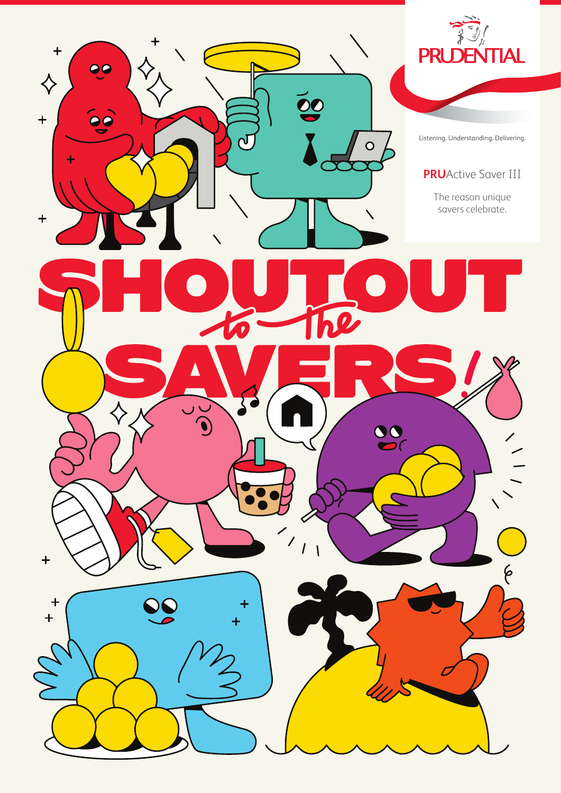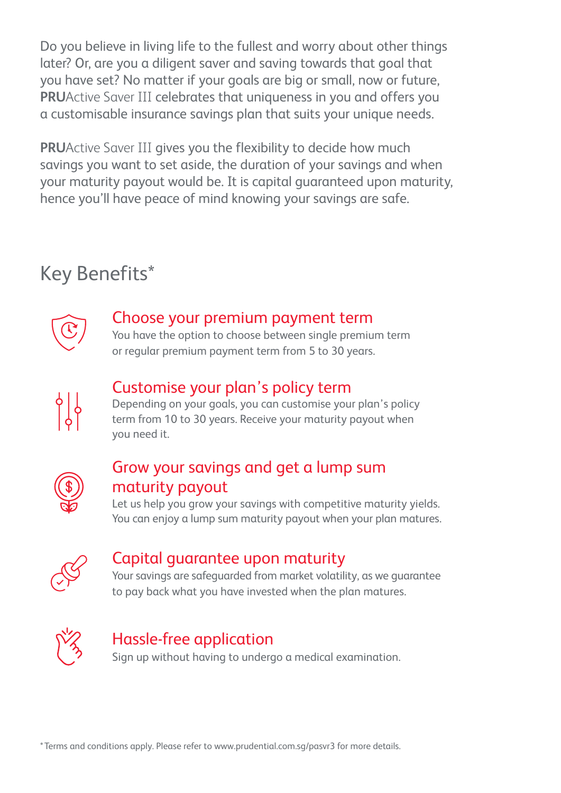Do you believe in living life to the fullest and worry about other things later? Or, are you a diligent saver and saving towards that goal that you have set? No matter if your goals are big or small, now or future, **PRU**Active Saver III celebrates that uniqueness in you and offers you a customisable insurance savings plan that suits your unique needs.

**PRU**Active Saver III gives you the flexibility to decide how much savings you want to set aside, the duration of your savings and when your maturity payout would be. It is capital guaranteed upon maturity, hence you'll have peace of mind knowing your savings are safe.

## Key Benefits\*



### Choose your premium payment term

You have the option to choose between single premium term or regular premium payment term from 5 to 30 years.



## Customise your plan's policy term

Depending on your goals, you can customise your plan's policy term from 10 to 30 years. Receive your maturity payout when you need it.



## Grow your savings and get a lump sum maturity payout

Let us help you grow your savings with competitive maturity yields. You can enjoy a lump sum maturity payout when your plan matures.



## Capital guarantee upon maturity

Your savings are safeguarded from market volatility, as we guarantee to pay back what you have invested when the plan matures.



## Hassle-free application

Sign up without having to undergo a medical examination.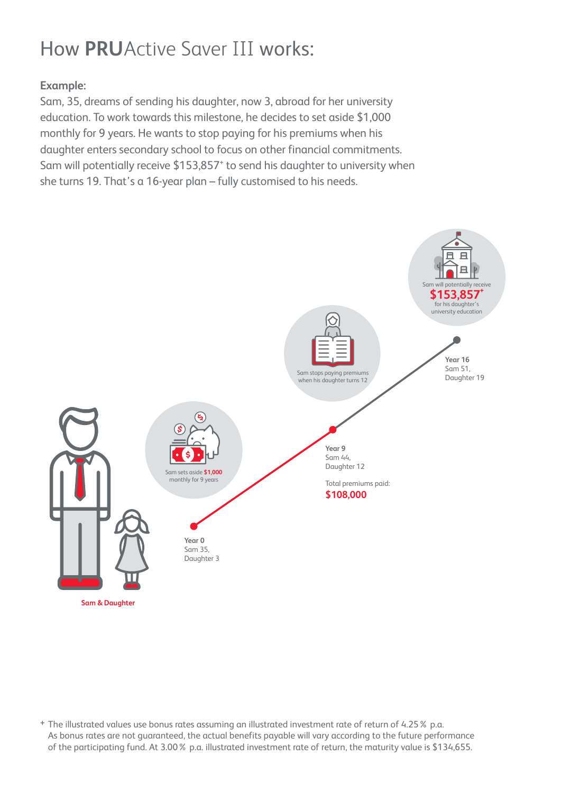# How **PRU**Active Saver III works:

### **Example:**

Sam, 35, dreams of sending his daughter, now 3, abroad for her university education. To work towards this milestone, he decides to set aside \$1,000 monthly for 9 years. He wants to stop paying for his premiums when his daughter enters secondary school to focus on other financial commitments. Sam will potentially receive \$153,857<sup>+</sup> to send his daughter to university when she turns 19. That's a 16-year plan – fully customised to his needs.



+ The illustrated values use bonus rates assuming an illustrated investment rate of return of 4.25% p.a. As bonus rates are not guaranteed, the actual benefits payable will vary according to the future performance of the participating fund. At 3.00% p.a. illustrated investment rate of return, the maturity value is \$134,655.